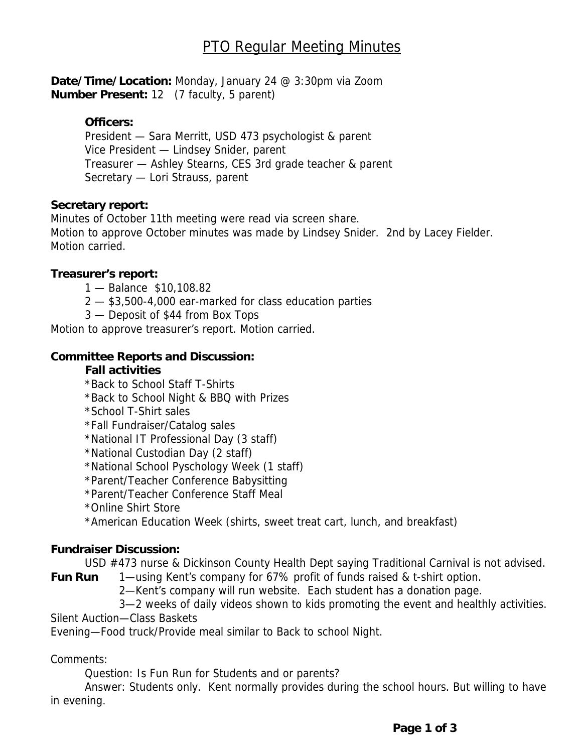**Date/Time/Location:** Monday, January 24 @ 3:30pm via Zoom **Number Present:** 12 (7 faculty, 5 parent)

#### **Officers:**

President — Sara Merritt, USD 473 psychologist & parent Vice President — Lindsey Snider, parent Treasurer — Ashley Stearns, CES 3rd grade teacher & parent Secretary — Lori Strauss, parent

#### **Secretary report:**

Minutes of October 11th meeting were read via screen share. Motion to approve October minutes was made by Lindsey Snider. 2nd by Lacey Fielder. Motion carried.

#### **Treasurer's report:**

- 1 Balance \$10,108.82
- 2 \$3,500-4,000 ear-marked for class education parties
- 3 Deposit of \$44 from Box Tops

Motion to approve treasurer's report. Motion carried.

#### **Committee Reports and Discussion:**

#### **Fall activities**

- \*Back to School Staff T-Shirts
- \*Back to School Night & BBQ with Prizes
- \*School T-Shirt sales

\*Fall Fundraiser/Catalog sales

\*National IT Professional Day (3 staff)

\*National Custodian Day (2 staff)

\*National School Pyschology Week (1 staff)

\*Parent/Teacher Conference Babysitting

\*Parent/Teacher Conference Staff Meal

\*Online Shirt Store

\*American Education Week (shirts, sweet treat cart, lunch, and breakfast)

#### **Fundraiser Discussion:**

USD #473 nurse & Dickinson County Health Dept saying Traditional Carnival is not advised.

**Fun Run** 1—using Kent's company for 67% profit of funds raised & t-shirt option.

- 2—Kent's company will run website. Each student has a donation page.
- 3—2 weeks of daily videos shown to kids promoting the event and healthly activities.

Silent Auction—Class Baskets

Evening—Food truck/Provide meal similar to Back to school Night.

Comments:

Question: Is Fun Run for Students and or parents?

 Answer: Students only. Kent normally provides during the school hours. But willing to have in evening.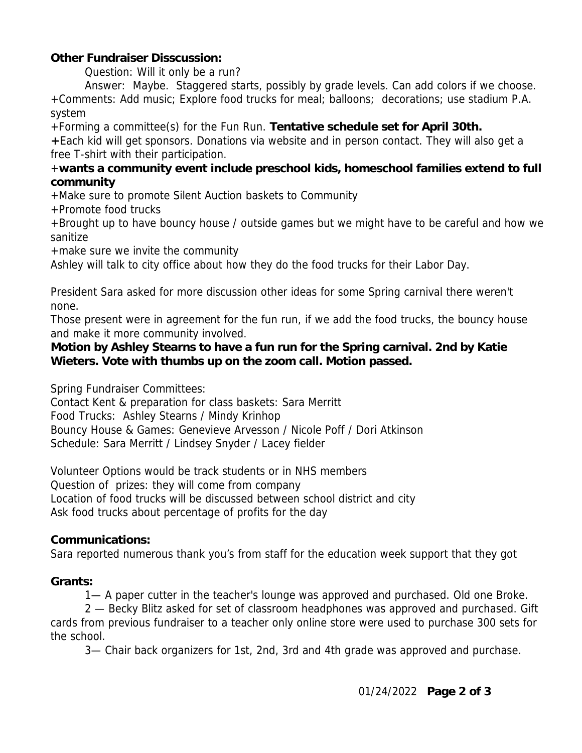# **Other Fundraiser Disscussion:**

Question: Will it only be a run?

 Answer: Maybe. Staggered starts, possibly by grade levels. Can add colors if we choose. +Comments: Add music; Explore food trucks for meal; balloons; decorations; use stadium P.A. system

+Forming a committee(s) for the Fun Run. **Tentative schedule set for April 30th.** 

**+**Each kid will get sponsors. Donations via website and in person contact. They will also get a free T-shirt with their participation.

## +**wants a community event include preschool kids, homeschool families extend to full community**

+Make sure to promote Silent Auction baskets to Community

+Promote food trucks

+Brought up to have bouncy house / outside games but we might have to be careful and how we sanitize

+make sure we invite the community

Ashley will talk to city office about how they do the food trucks for their Labor Day.

President Sara asked for more discussion other ideas for some Spring carnival there weren't none.

Those present were in agreement for the fun run, if we add the food trucks, the bouncy house and make it more community involved.

## **Motion by Ashley Stearns to have a fun run for the Spring carnival. 2nd by Katie Wieters. Vote with thumbs up on the zoom call. Motion passed.**

Spring Fundraiser Committees:

Contact Kent & preparation for class baskets: Sara Merritt Food Trucks: Ashley Stearns / Mindy Krinhop Bouncy House & Games: Genevieve Arvesson / Nicole Poff / Dori Atkinson Schedule: Sara Merritt / Lindsey Snyder / Lacey fielder

Volunteer Options would be track students or in NHS members Question of prizes: they will come from company Location of food trucks will be discussed between school district and city Ask food trucks about percentage of profits for the day

## **Communications:**

Sara reported numerous thank you's from staff for the education week support that they got

## **Grants:**

1— A paper cutter in the teacher's lounge was approved and purchased. Old one Broke.

 2 — Becky Blitz asked for set of classroom headphones was approved and purchased. Gift cards from previous fundraiser to a teacher only online store were used to purchase 300 sets for the school.

3— Chair back organizers for 1st, 2nd, 3rd and 4th grade was approved and purchase.